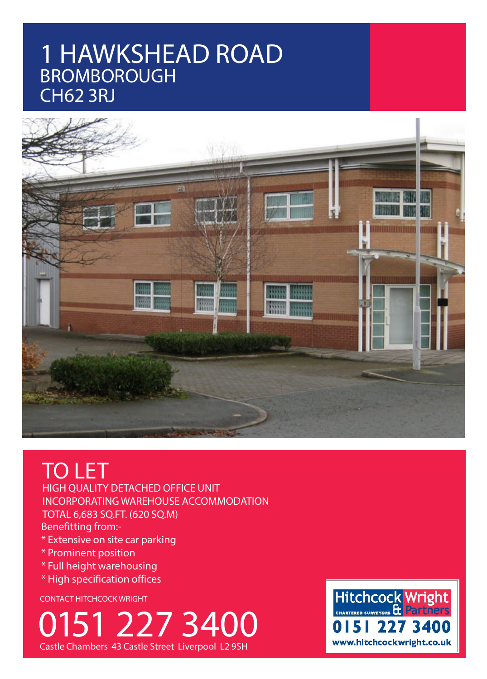# 1 HAWKSHEAD ROAD BROMBOROUGH CH62 3RJ



# TO LET

HIGH QUALITY DETACHED OFFICE UNIT INCORPORATING WAREHOUSE ACCOMMODATION TOTAL 6,683 SQ.FT. (620 SQ.M) Benefitting from:-

- \* Extensive on site car parking
- \* Prominent position
- \* Full height warehousing
- \* High specification offices

CONTACT HITCHCOCK WRIGHT

0151 227 3400 Castle Chambers 43 Castle Street Liverpool L2 9SH